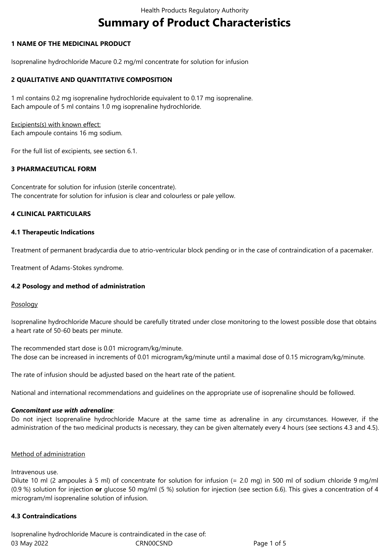# **Summary of Product Characteristics**

## **1 NAME OF THE MEDICINAL PRODUCT**

Isoprenaline hydrochloride Macure 0.2 mg/ml concentrate for solution for infusion

## **2 QUALITATIVE AND QUANTITATIVE COMPOSITION**

1 ml contains 0.2 mg isoprenaline hydrochloride equivalent to 0.17 mg isoprenaline. Each ampoule of 5 ml contains 1.0 mg isoprenaline hydrochloride.

Excipients(s) with known effect: Each ampoule contains 16 mg sodium.

For the full list of excipients, see section 6.1.

## **3 PHARMACEUTICAL FORM**

Concentrate for solution for infusion (sterile concentrate). The concentrate for solution for infusion is clear and colourless or pale yellow.

## **4 CLINICAL PARTICULARS**

#### **4.1 Therapeutic Indications**

Treatment of permanent bradycardia due to atrio-ventricular block pending or in the case of contraindication of a pacemaker.

Treatment of Adams-Stokes syndrome.

#### **4.2 Posology and method of administration**

#### Posology

Isoprenaline hydrochloride Macure should be carefully titrated under close monitoring to the lowest possible dose that obtains a heart rate of 50-60 beats per minute.

The recommended start dose is 0.01 microgram/kg/minute. The dose can be increased in increments of 0.01 microgram/kg/minute until a maximal dose of 0.15 microgram/kg/minute.

The rate of infusion should be adjusted based on the heart rate of the patient.

National and international recommendations and guidelines on the appropriate use of isoprenaline should be followed.

#### *Concomitant use with adrenaline:*

Do not inject Isoprenaline hydrochloride Macure at the same time as adrenaline in any circumstances. However, if the administration of the two medicinal products is necessary, they can be given alternately every 4 hours (see sections 4.3 and 4.5).

#### Method of administration

Intravenous use.

Dilute 10 ml (2 ampoules à 5 ml) of concentrate for solution for infusion (= 2.0 mg) in 500 ml of sodium chloride 9 mg/ml (0.9 %) solution for injection **or** glucose 50 mg/ml (5 %) solution for injection (see section 6.6). This gives a concentration of 4 microgram/ml isoprenaline solution of infusion.

#### **4.3 Contraindications**

03 May 2022 CRN00CSND CRNOCSND Page 1 of 5 Isoprenaline hydrochloride Macure is contraindicated in the case of: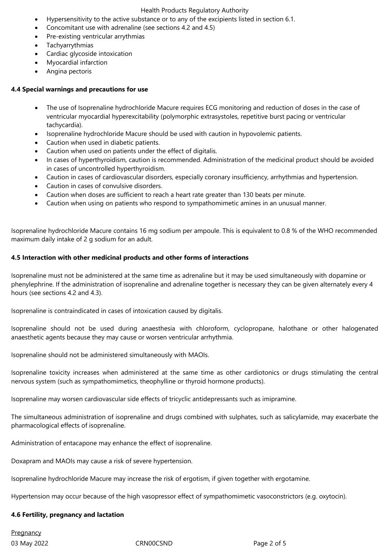#### Health Products Regulatory Authority

- Hypersensitivity to the active substance or to any of the excipients listed in section 6.1.
- Concomitant use with adrenaline (see sections 4.2 and 4.5)
- Pre-existing ventricular arrythmias
- Tachyarrythmias
- Cardiac glycoside intoxication
- Myocardial infarction
- Angina pectoris

#### **4.4 Special warnings and precautions for use**

- The use of Isoprenaline hydrochloride Macure requires ECG monitoring and reduction of doses in the case of ventricular myocardial hyperexcitability (polymorphic extrasystoles, repetitive burst pacing or ventricular tachycardia).
- Isoprenaline hydrochloride Macure should be used with caution in hypovolemic patients.
- Caution when used in diabetic patients.
- Caution when used on patients under the effect of digitalis.
- In cases of hyperthyroidism, caution is recommended. Administration of the medicinal product should be avoided in cases of uncontrolled hyperthyroidism.
- Caution in cases of cardiovascular disorders, especially coronary insufficiency, arrhythmias and hypertension.
- Caution in cases of convulsive disorders.
- Caution when doses are sufficient to reach a heart rate greater than 130 beats per minute.
- Caution when using on patients who respond to sympathomimetic amines in an unusual manner.

Isoprenaline hydrochloride Macure contains 16 mg sodium per ampoule. This is equivalent to 0.8 % of the WHO recommended maximum daily intake of 2 g sodium for an adult.

#### **4.5 Interaction with other medicinal products and other forms of interactions**

Isoprenaline must not be administered at the same time as adrenaline but it may be used simultaneously with dopamine or phenylephrine. If the administration of isoprenaline and adrenaline together is necessary they can be given alternately every 4 hours (see sections 4.2 and 4.3).

Isoprenaline is contraindicated in cases of intoxication caused by digitalis.

Isoprenaline should not be used during anaesthesia with chloroform, cyclopropane, halothane or other halogenated anaesthetic agents because they may cause or worsen ventricular arrhythmia.

Isoprenaline should not be administered simultaneously with MAOIs.

Isoprenaline toxicity increases when administered at the same time as other cardiotonics or drugs stimulating the central nervous system (such as sympathomimetics, theophylline or thyroid hormone products).

Isoprenaline may worsen cardiovascular side effects of tricyclic antidepressants such as imipramine.

The simultaneous administration of isoprenaline and drugs combined with sulphates, such as salicylamide, may exacerbate the pharmacological effects of isoprenaline.

Administration of entacapone may enhance the effect of isoprenaline.

Doxapram and MAOIs may cause a risk of severe hypertension.

Isoprenaline hydrochloride Macure may increase the risk of ergotism, if given together with ergotamine.

Hypertension may occur because of the high vasopressor effect of sympathomimetic vasoconstrictors (e.g. oxytocin).

#### **4.6 Fertility, pregnancy and lactation**

**Pregnancy** 

03 May 2022 CRN00CSND CRNOCSND Page 2 of 5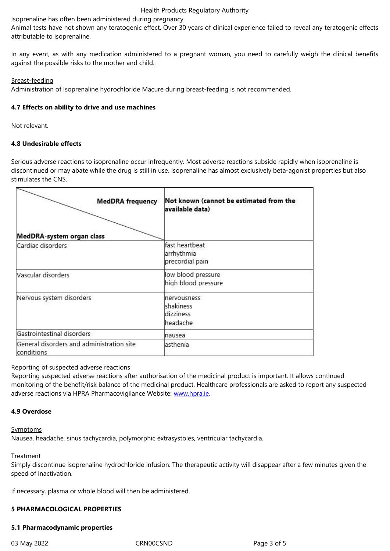attributable to isoprenaline.

In any event, as with any medication administered to a pregnant woman, you need to carefully weigh the clinical benefits against the possible risks to the mother and child.

#### Breast-feeding

Administration of Isoprenaline hydrochloride Macure during breast-feeding is not recommended.

#### **4.7 Effects on ability to drive and use machines**

Not relevant.

#### **4.8 Undesirable effects**

Serious adverse reactions to isoprenaline occur infrequently. Most adverse reactions subside rapidly when isoprenaline is discontinued or may abate while the drug is still in use. Isoprenaline has almost exclusively beta-agonist properties but also stimulates the CNS.

| <b>MedDRA</b> frequency<br>MedDRA-system organ class    | Not known (cannot be estimated from the<br>available data) |
|---------------------------------------------------------|------------------------------------------------------------|
| Cardiac disorders                                       | fast heartbeat<br>arrhythmia<br>precordial pain            |
| Vascular disorders                                      | low blood pressure<br>high blood pressure                  |
| Nervous system disorders                                | nervousness<br>shakiness<br>dizziness<br>headache          |
| Gastrointestinal disorders                              | nausea                                                     |
| General disorders and administration site<br>conditions | asthenia                                                   |

#### Reporting of suspected adverse reactions

Reporting suspected adverse reactions after authorisation of the medicinal product is important. It allows continued monitoring of the benefit/risk balance of the medicinal product. Healthcare professionals are asked to report any suspected adverse reactions via HPRA Pharmacovigilance Website: www.hpra.ie.

#### **4.9 Overdose**

**Symptoms** 

Nausea, headache, sinus tachycardia, polymorphic extrasystoles, ventricular tachycardia.

#### **Treatment**

Simply discontinue isoprenaline hydrochloride infusion. The therapeutic activity will disappear after a few minutes given the speed of inactivation.

If necessary, plasma or whole blood will then be administered.

#### **5 PHARMACOLOGICAL PROPERTIES**

#### **5.1 Pharmacodynamic properties**

03 May 2022 **CRNOOCSND** CROOCSND Page 3 of 5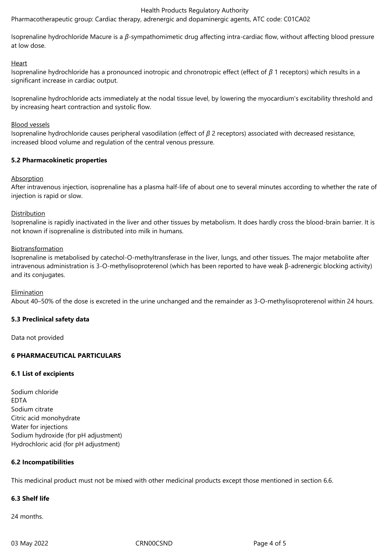#### Health Products Regulatory Authority

Pharmacotherapeutic group: Cardiac therapy, adrenergic and dopaminergic agents, ATC code: C01CA02

Isoprenaline hydrochloride Macure is a *β-*sympathomimetic drug affecting intra-cardiac flow, without affecting blood pressure at low dose.

#### **Heart**

Isoprenaline hydrochloride has a pronounced inotropic and chronotropic effect (effect of *β* 1 receptors) which results in a significant increase in cardiac output.

Isoprenaline hydrochloride acts immediately at the nodal tissue level, by lowering the myocardium's excitability threshold and by increasing heart contraction and systolic flow.

#### Blood vessels

Isoprenaline hydrochloride causes peripheral vasodilation (effect of *β* 2 receptors) associated with decreased resistance, increased blood volume and regulation of the central venous pressure.

#### **5.2 Pharmacokinetic properties**

#### Absorption

After intravenous injection, isoprenaline has a plasma half-life of about one to several minutes according to whether the rate of injection is rapid or slow.

#### Distribution

Isoprenaline is rapidly inactivated in the liver and other tissues by metabolism. It does hardly cross the blood-brain barrier. It is not known if isoprenaline is distributed into milk in humans.

#### Biotransformation

Isoprenaline is metabolised by catechol-O-methyltransferase in the liver, lungs, and other tissues. The major metabolite after intravenous administration is 3-O-methylisoproterenol (which has been reported to have weak β-adrenergic blocking activity) and its conjugates.

#### Elimination

About 40–50% of the dose is excreted in the urine unchanged and the remainder as 3-O-methylisoproterenol within 24 hours.

# **5.3 Preclinical safety data**

Data not provided

# **6 PHARMACEUTICAL PARTICULARS**

#### **6.1 List of excipients**

Sodium chloride EDTA Sodium citrate Citric acid monohydrate Water for injections Sodium hydroxide (for pH adjustment) Hydrochloric acid (for pH adjustment)

#### **6.2 Incompatibilities**

This medicinal product must not be mixed with other medicinal products except those mentioned in section 6.6.

# **6.3 Shelf life**

24 months.